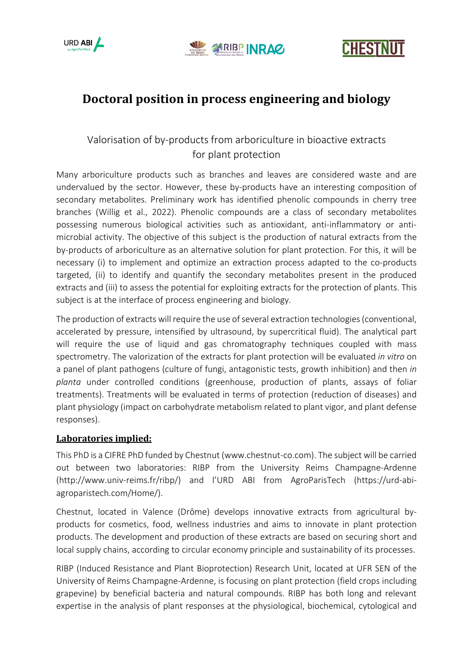





# **Doctoral position in process engineering and biology**

## Valorisation of by-products from arboriculture in bioactive extracts for plant protection

Many arboriculture products such as branches and leaves are considered waste and are undervalued by the sector. However, these by-products have an interesting composition of secondary metabolites. Preliminary work has identified phenolic compounds in cherry tree branches (Willig et al., 2022). Phenolic compounds are a class of secondary metabolites possessing numerous biological activities such as antioxidant, anti-inflammatory or antimicrobial activity. The objective of this subject is the production of natural extracts from the by-products of arboriculture as an alternative solution for plant protection. For this, it will be necessary (i) to implement and optimize an extraction process adapted to the co-products targeted, (ii) to identify and quantify the secondary metabolites present in the produced extracts and (iii) to assess the potential for exploiting extracts for the protection of plants. This subject is at the interface of process engineering and biology.

The production of extracts will require the use of several extraction technologies (conventional, accelerated by pressure, intensified by ultrasound, by supercritical fluid). The analytical part will require the use of liquid and gas chromatography techniques coupled with mass spectrometry. The valorization of the extracts for plant protection will be evaluated *in vitro* on a panel of plant pathogens (culture of fungi, antagonistic tests, growth inhibition) and then *in planta* under controlled conditions (greenhouse, production of plants, assays of foliar treatments). Treatments will be evaluated in terms of protection (reduction of diseases) and plant physiology (impact on carbohydrate metabolism related to plant vigor, and plant defense responses).

#### **Laboratories implied:**

This PhD is a CIFRE PhD funded by Chestnut (www.chestnut-co.com). The subject will be carried out between two laboratories: RIBP from the University Reims Champagne-Ardenne (http://www.univ-reims.fr/ribp/) and l'URD ABI from AgroParisTech (https://urd-abiagroparistech.com/Home/).

Chestnut, located in Valence (Drôme) develops innovative extracts from agricultural byproducts for cosmetics, food, wellness industries and aims to innovate in plant protection products. The development and production of these extracts are based on securing short and local supply chains, according to circular economy principle and sustainability of its processes.

RIBP (Induced Resistance and Plant Bioprotection) Research Unit, located at UFR SEN of the University of Reims Champagne-Ardenne, is focusing on plant protection (field crops including grapevine) by beneficial bacteria and natural compounds. RIBP has both long and relevant expertise in the analysis of plant responses at the physiological, biochemical, cytological and